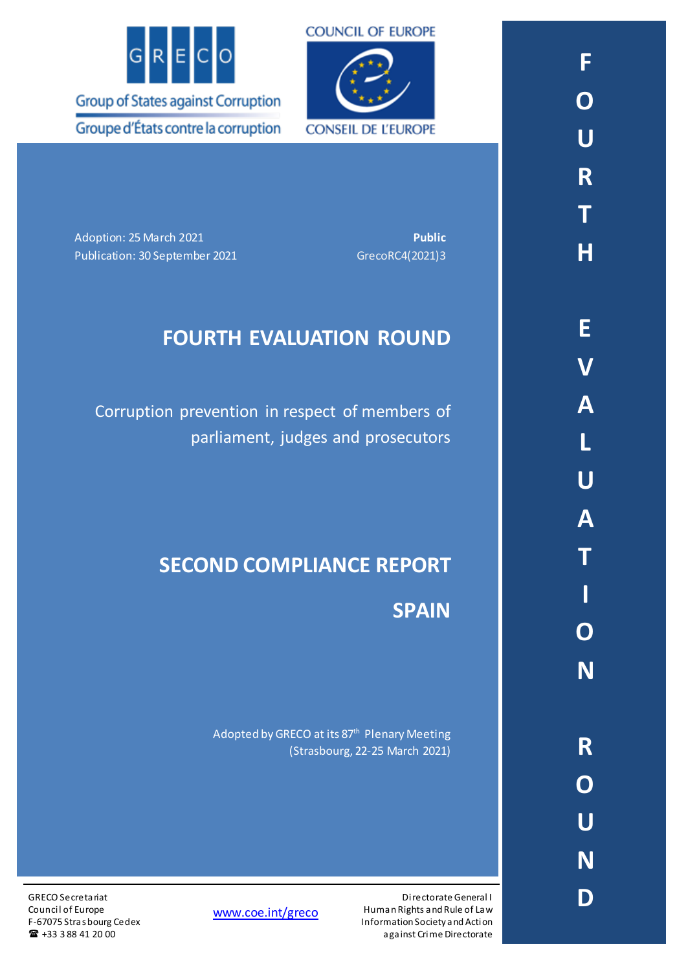

**COUNCIL OF EUROPE CONSEIL DE L'EUROPE** 

Adoption: 25 March 2021 **Public** Publication: 30 September 2021 GrecoRC4(2021)3

# **FOURTH EVALUATION ROUND**

Corruption prevention in respect of members of parliament, judges and prosecutors

# **SECOND COMPLIANCE REPORT**

**SPAIN**

Directorate General I

against Crime Directorate

Adopted by GRECO at its 87<sup>th</sup> Plenary Meeting (Strasbourg, 22-25 March 2021)

[www.coe.int/greco](http://www.coe.int/greco)

Human Rights and Rule of Law Information Society and Action

GRECO Secretariat Council of Europe F-67075 Strasbourg Cedex  $\bullet$  +33 3 88 41 20 00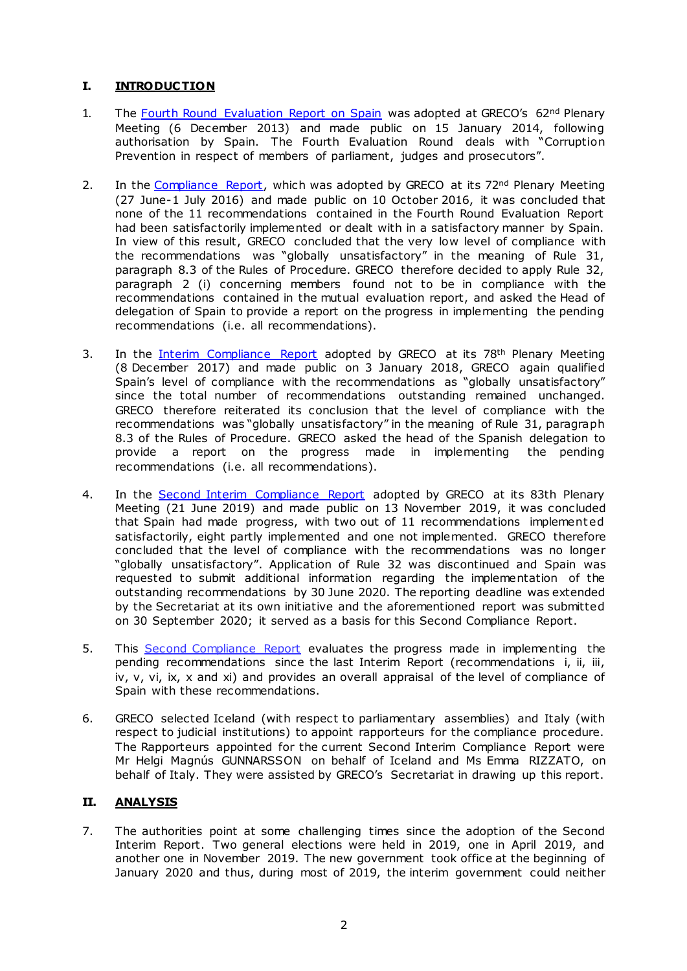# **I. INTRODUCTION**

- 1. The [Fourth Round Evaluation Report on Spain](https://rm.coe.int/16806ca048) was adopted at GRECO's 62<sup>nd</sup> Plenary Meeting (6 December 2013) and made public on 15 January 2014, following authorisation by Spain. The Fourth Evaluation Round deals with "Corruption Prevention in respect of members of parliament, judges and prosecutors".
- 2. In the [Compliance Report,](https://rm.coe.int/16806ca04a) which was adopted by GRECO at its 72<sup>nd</sup> Plenary Meeting (27 June-1 July 2016) and made public on 10 October 2016, it was concluded that none of the 11 recommendations contained in the Fourth Round Evaluation Report had been satisfactorily implemented or dealt with in a satisfactory manner by Spain. In view of this result, GRECO concluded that the very low level of compliance with the recommendations was "globally unsatisfactory" in the meaning of Rule 31, paragraph 8.3 of the Rules of Procedure. GRECO therefore decided to apply Rule 32, paragraph 2 (i) concerning members found not to be in compliance with the recommendations contained in the mutual evaluation report, and asked the Head of delegation of Spain to provide a report on the progress in implementing the pending recommendations (i.e. all recommendations).
- 3. In the [Interim Compliance Report](https://rm.coe.int/fourth-evaluation-round-corruption-prevention-in-respect-of-members-of/1680779c4d) adopted by GRECO at its 78<sup>th</sup> Plenary Meeting (8 December 2017) and made public on 3 January 2018, GRECO again qualified Spain's level of compliance with the recommendations as "globally unsatisfactory" since the total number of recommendations outstanding remained unchanged. GRECO therefore reiterated its conclusion that the level of compliance with the recommendations was "globally unsatisfactory" in the meaning of Rule 31, paragraph 8.3 of the Rules of Procedure. GRECO asked the head of the Spanish delegation to provide a report on the progress made in implementing the pending recommendations (i.e. all recommendations).
- 4. In the [Second Interim Compliance Report](https://rm.coe.int/fourth-evaluation-round-corruption-prevention-in-respect-of-members-of/168098c67d) adopted by GRECO at its 83th Plenary Meeting (21 June 2019) and made public on 13 November 2019, it was concluded that Spain had made progress, with two out of 11 recommendations implement ed satisfactorily, eight partly implemented and one not implemented. GRECO therefore concluded that the level of compliance with the recommendations was no longer "globally unsatisfactory". Application of Rule 32 was discontinued and Spain was requested to submit additional information regarding the implementation of the outstanding recommendations by 30 June 2020. The reporting deadline was extended by the Secretariat at its own initiative and the aforementioned report was submitted on 30 September 2020; it served as a basis for this Second Compliance Report.
- 5. This Second Compliance Report evaluates the progress made in implementing the pending recommendations since the last Interim Report (recommendations i, ii, iii, iv, v, vi, ix, x and xi) and provides an overall appraisal of the level of compliance of Spain with these recommendations.
- 6. GRECO selected Iceland (with respect to parliamentary assemblies) and Italy (with respect to judicial institutions) to appoint rapporteurs for the compliance procedure. The Rapporteurs appointed for the current Second Interim Compliance Report were Mr Helgi Magnús GUNNARSSON on behalf of Iceland and Ms Emma RIZZATO, on behalf of Italy. They were assisted by GRECO's Secretariat in drawing up this report.

## **II. ANALYSIS**

7. The authorities point at some challenging times since the adoption of the Second Interim Report. Two general elections were held in 2019, one in April 2019, and another one in November 2019. The new government took office at the beginning of January 2020 and thus, during most of 2019, the interim government could neither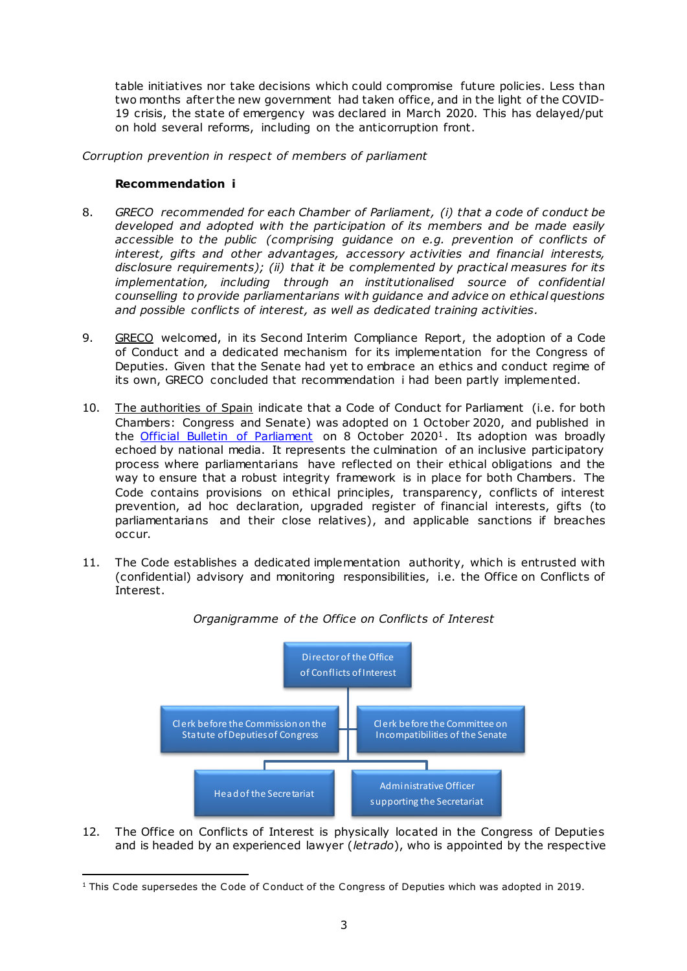table initiatives nor take decisions which could compromise future policies. Less than two months after the new government had taken office, and in the light of the COVID-19 crisis, the state of emergency was declared in March 2020. This has delayed/put on hold several reforms, including on the anticorruption front.

*Corruption prevention in respect of members of parliament*

#### **Recommendation i**

- 8. *GRECO recommended for each Chamber of Parliament, (i) that a code of conduct be developed and adopted with the participation of its members and be made easily accessible to the public (comprising guidance on e.g. prevention of conflicts of interest, gifts and other advantages, accessory activities and financial interests, disclosure requirements); (ii) that it be complemented by practical measures for its implementation, including through an institutionalised source of confidential counselling to provide parliamentarians with guidance and advice on ethical questions and possible conflicts of interest, as well as dedicated training activities.*
- 9. GRECO welcomed, in its Second Interim Compliance Report, the adoption of a Code of Conduct and a dedicated mechanism for its implementation for the Congress of Deputies. Given that the Senate had yet to embrace an ethics and conduct regime of its own, GRECO concluded that recommendation i had been partly implemented.
- 10. The authorities of Spain indicate that a Code of Conduct for Parliament (i.e. for both Chambers: Congress and Senate) was adopted on 1 October 2020, and published in the [Official Bulletin](http://www.congreso.es/public_oficiales/L14/CORT/BOCG/A/BOCG-14-CG-A-70.PDF) of Parliament on 8 October 2020<sup>1</sup>. Its adoption was broadly echoed by national media. It represents the culmination of an inclusive participatory process where parliamentarians have reflected on their ethical obligations and the way to ensure that a robust integrity framework is in place for both Chambers. The Code contains provisions on ethical principles, transparency, conflicts of interest prevention, ad hoc declaration, upgraded register of financial interests, gifts (to parliamentarians and their close relatives), and applicable sanctions if breaches occur.
- 11. The Code establishes a dedicated implementation authority, which is entrusted with (confidential) advisory and monitoring responsibilities, i.e. the Office on Conflicts of Interest.



#### *Organigramme of the Office on Conflicts of Interest*

12. The Office on Conflicts of Interest is physically located in the Congress of Deputies and is headed by an experienced lawyer (*letrado*), who is appointed by the respective

 $\overline{a}$  $1$  This Code supersedes the Code of Conduct of the Congress of Deputies which was adopted in 2019.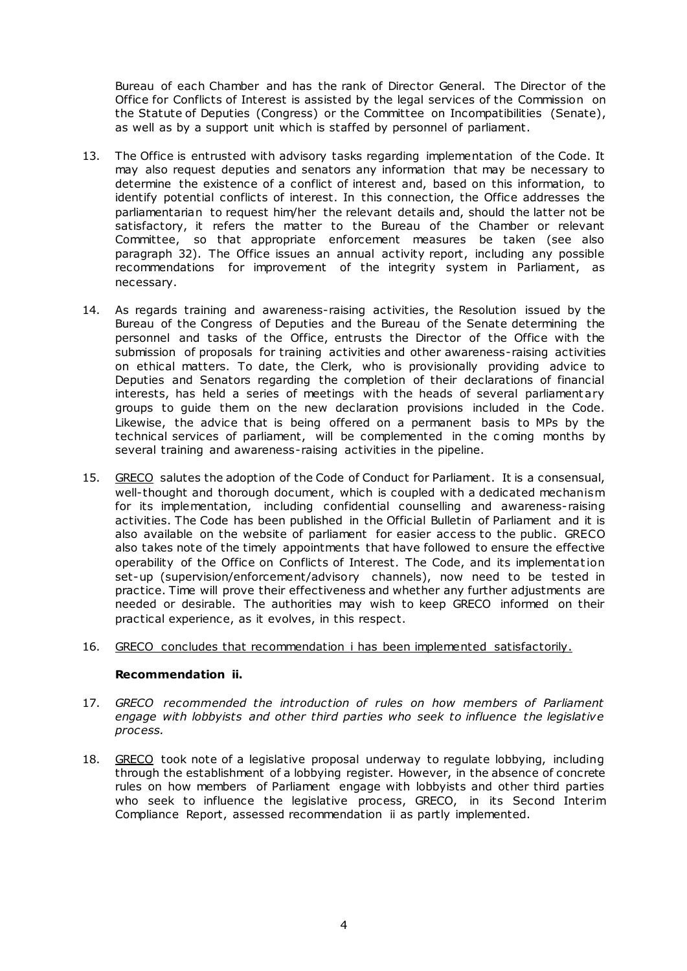Bureau of each Chamber and has the rank of Director General. The Director of the Office for Conflicts of Interest is assisted by the legal services of the Commission on the Statute of Deputies (Congress) or the Committee on Incompatibilities (Senate), as well as by a support unit which is staffed by personnel of parliament.

- 13. The Office is entrusted with advisory tasks regarding implementation of the Code. It may also request deputies and senators any information that may be necessary to determine the existence of a conflict of interest and, based on this information, to identify potential conflicts of interest. In this connection, the Office addresses the parliamentarian to request him/her the relevant details and, should the latter not be satisfactory, it refers the matter to the Bureau of the Chamber or relevant Committee, so that appropriate enforcement measures be taken (see also paragraph 32). The Office issues an annual activity report, including any possible recommendations for improvement of the integrity system in Parliament, as necessary.
- 14. As regards training and awareness-raising activities, the Resolution issued by the Bureau of the Congress of Deputies and the Bureau of the Senate determining the personnel and tasks of the Office, entrusts the Director of the Office with the submission of proposals for training activities and other awareness-raising activities on ethical matters. To date, the Clerk, who is provisionally providing advice to Deputies and Senators regarding the completion of their declarations of financial interests, has held a series of meetings with the heads of several parliament ary groups to guide them on the new declaration provisions included in the Code. Likewise, the advice that is being offered on a permanent basis to MPs by the technical services of parliament, will be complemented in the c oming months by several training and awareness-raising activities in the pipeline.
- 15. GRECO salutes the adoption of the Code of Conduct for Parliament. It is a consensual, well-thought and thorough document, which is coupled with a dedicated mechanism for its implementation, including confidential counselling and awareness-raising activities. The Code has been published in the Official Bulletin of Parliament and it is also available on the website of parliament for easier access to the public . GRECO also takes note of the timely appointments that have followed to ensure the effective operability of the Office on Conflicts of Interest. The Code, and its implementat ion set-up (supervision/enforcement/advisory channels), now need to be tested in practice. Time will prove their effectiveness and whether any further adjustments are needed or desirable. The authorities may wish to keep GRECO informed on their practical experience, as it evolves, in this respect.

#### 16. GRECO concludes that recommendation i has been implemented satisfactorily.

#### **Recommendation ii.**

- 17. *GRECO recommended the introduction of rules on how members of Parliament engage with lobbyists and other third parties who seek to influence the legislative process.*
- 18. GRECO took note of a legislative proposal underway to regulate lobbying, including through the establishment of a lobbying register. However, in the absence of concrete rules on how members of Parliament engage with lobbyists and other third parties who seek to influence the legislative process, GRECO, in its Second Interim Compliance Report, assessed recommendation ii as partly implemented.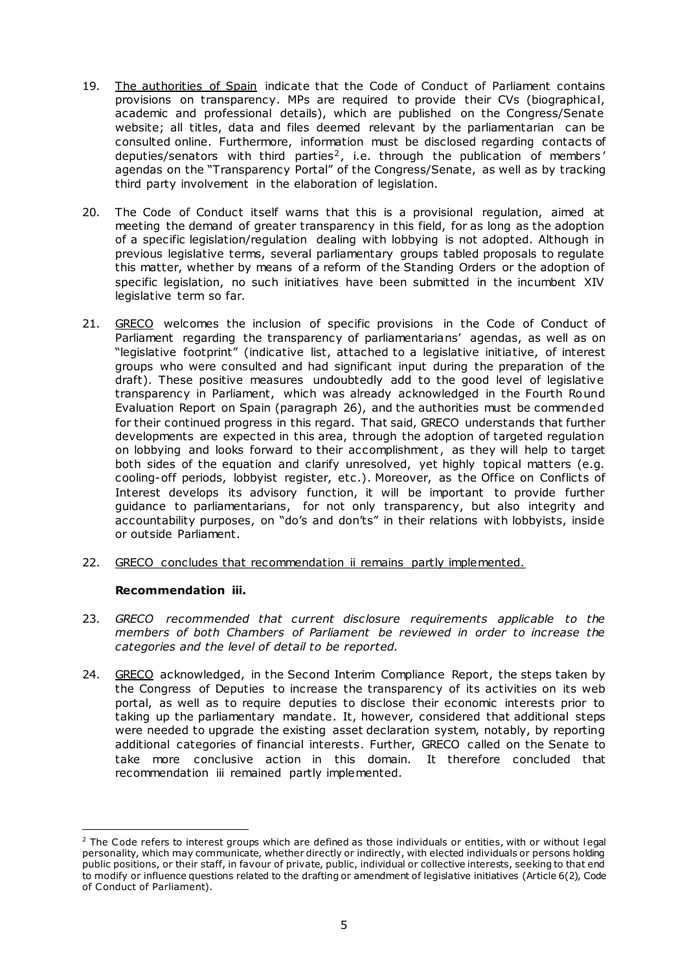- 19. The authorities of Spain indicate that the Code of Conduct of Parliament contains provisions on transparency. MPs are required to provide their CVs (biographical, academic and professional details), which are published on the Congress/Senate website; all titles, data and files deemed relevant by the parliamentarian can be consulted online. Furthermore, information must be disclosed regarding contacts of deputies/senators with third parties<sup>2</sup>, i.e. through the publication of members' agendas on the "Transparency Portal" of the Congress/Senate, as well as by tracking third party involvement in the elaboration of legislation.
- 20. The Code of Conduct itself warns that this is a provisional regulation, aimed at meeting the demand of greater transparency in this field, for as long as the adoption of a specific legislation/regulation dealing with lobbying is not adopted. Although in previous legislative terms, several parliamentary groups tabled proposals to regulate this matter, whether by means of a reform of the Standing Orders or the adoption of specific legislation, no such initiatives have been submitted in the incumbent XIV legislative term so far.
- 21. GRECO welcomes the inclusion of specific provisions in the Code of Conduct of Parliament regarding the transparency of parliamentarians' agendas, as well as on "legislative footprint" (indicative list, attached to a legislative initiative, of interest groups who were consulted and had significant input during the preparation of the draft). These positive measures undoubtedly add to the good level of legislative transparency in Parliament, which was already acknowledged in the Fourth Round Evaluation Report on Spain (paragraph 26), and the authorities must be commended for their continued progress in this regard. That said, GRECO understands that further developments are expected in this area, through the adoption of targeted regulation on lobbying and looks forward to their accomplishment, as they will help to target both sides of the equation and clarify unresolved, yet highly topical matters (e.g. cooling-off periods, lobbyist register, etc .). Moreover, as the Office on Conflicts of Interest develops its advisory function, it will be important to provide further guidance to parliamentarians, for not only transparency, but also integrity and accountability purposes, on "do's and don'ts" in their relations with lobbyists, inside or outside Parliament.
- 22. GRECO concludes that recommendation ii remains partly implemented.

#### **Recommendation iii.**

- 23. *GRECO recommended that current disclosure requirements applicable to the members of both Chambers of Parliament be reviewed in order to increase the categories and the level of detail to be reported.*
- 24. GRECO acknowledged, in the Second Interim Compliance Report, the steps taken by the Congress of Deputies to increase the transparency of its activities on its web portal, as well as to require deputies to disclose their economic interests prior to taking up the parliamentary mandate. It, however, considered that additional steps were needed to upgrade the existing asset declaration system, notably, by reporting additional categories of financial interests. Further, GRECO called on the Senate to take more conclusive action in this domain. It therefore concluded that recommendation iii remained partly implemented.

<sup>&</sup>lt;sup>2</sup> The Code refers to interest groups which are defined as those individuals or entities, with or without legal personality, which may communicate, whether directly or indirectly, with elected individuals or persons holding public positions, or their staff, in favour of private, public, individual or collective interests, seeking to that end to modify or influence questions related to the drafting or amendment of legislative initiatives (Article 6(2), Code of Conduct of Parliament).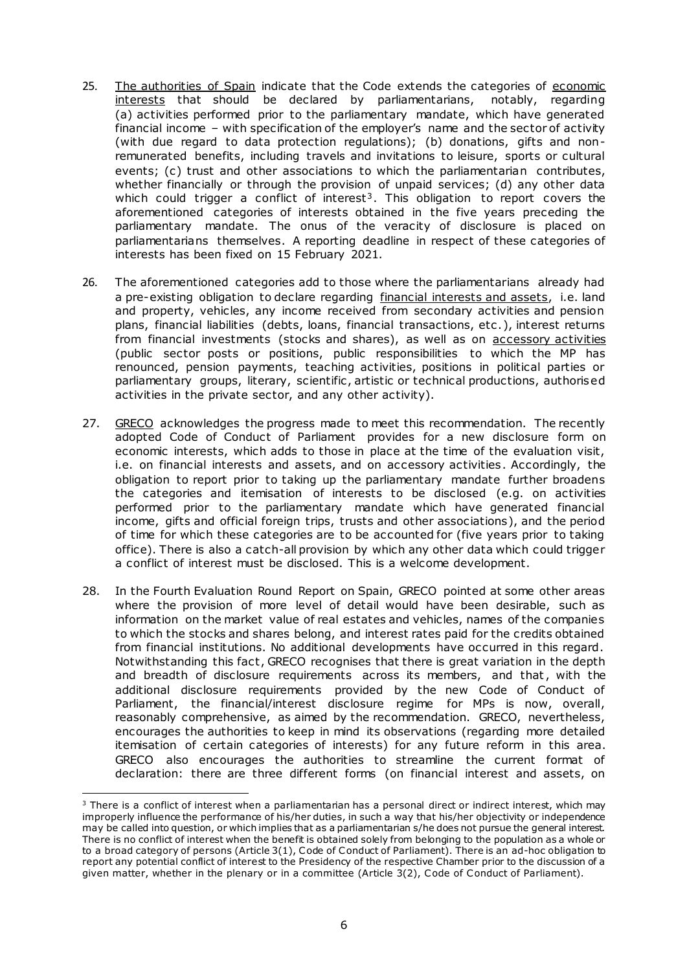- 25. The authorities of Spain indicate that the Code extends the categories of economic interests that should be declared by parliamentarians, notably, regarding (a) activities performed prior to the parliamentary mandate, which have generated financial income – with specification of the employer's name and the sector of activity (with due regard to data protection regulations); (b) donations, gifts and nonremunerated benefits, including travels and invitations to leisure, sports or cultural events; (c) trust and other associations to which the parliamentarian contributes, whether financially or through the provision of unpaid services; (d) any other data which could trigger a conflict of interest<sup>3</sup>. This obligation to report covers the aforementioned categories of interests obtained in the five years preceding the parliamentary mandate. The onus of the veracity of disclosure is placed on parliamentarians themselves. A reporting deadline in respect of these categories of interests has been fixed on 15 February 2021.
- 26. The aforementioned categories add to those where the parliamentarians already had a pre-existing obligation to declare regarding financial interests and assets, i.e. land and property, vehicles, any income received from secondary activities and pension plans, financial liabilities (debts, loans, financial transactions, etc .), interest returns from financial investments (stocks and shares), as well as on accessory activities (public sector posts or positions, public responsibilities to which the MP has renounced, pension payments, teaching activities, positions in political parties or parliamentary groups, literary, scientific, artistic or technical productions, authorised activities in the private sector, and any other activity).
- 27. GRECO acknowledges the progress made to meet this recommendation. The recently adopted Code of Conduct of Parliament provides for a new disclosure form on economic interests, which adds to those in place at the time of the evaluation visit, i.e. on financial interests and assets, and on accessory activities. Accordingly, the obligation to report prior to taking up the parliamentary mandate further broadens the categories and itemisation of interests to be disclosed (e.g. on activities performed prior to the parliamentary mandate which have generated financial income, gifts and official foreign trips, trusts and other associations), and the period of time for which these categories are to be accounted for (five years prior to taking office). There is also a catch-all provision by which any other data which could trigger a conflict of interest must be disclosed. This is a welcome development.
- 28. In the Fourth Evaluation Round Report on Spain, GRECO pointed at some other areas where the provision of more level of detail would have been desirable, such as information on the market value of real estates and vehicles, names of the companies to which the stocks and shares belong, and interest rates paid for the credits obtained from financial institutions. No additional developments have occurred in this regard. Notwithstanding this fact, GRECO recognises that there is great variation in the depth and breadth of disclosure requirements across its members, and that, with the additional disclosure requirements provided by the new Code of Conduct of Parliament, the financial/interest disclosure regime for MPs is now, overall, reasonably comprehensive, as aimed by the recommendation. GRECO, nevertheless, encourages the authorities to keep in mind its observations (regarding more detailed itemisation of certain categories of interests) for any future reform in this area. GRECO also encourages the authorities to streamline the current format of declaration: there are three different forms (on financial interest and assets, on

 $3$  There is a conflict of interest when a parliamentarian has a personal direct or indirect interest, which may improperly influence the performance of his/her duties, in such a way that his/her objectivity or independence may be called into question, or which implies that as a parliamentarian s/he does not pursue the general interest. There is no conflict of interest when the benefit is obtained solely from belonging to the population as a whole or to a broad category of persons (Article 3(1), Code of Conduct of Parliament). There is an ad-hoc obligation to report any potential conflict of interest to the Presidency of the respective Chamber prior to the discussion of a given matter, whether in the plenary or in a committee (Article 3(2), Code of Conduct of Parliament).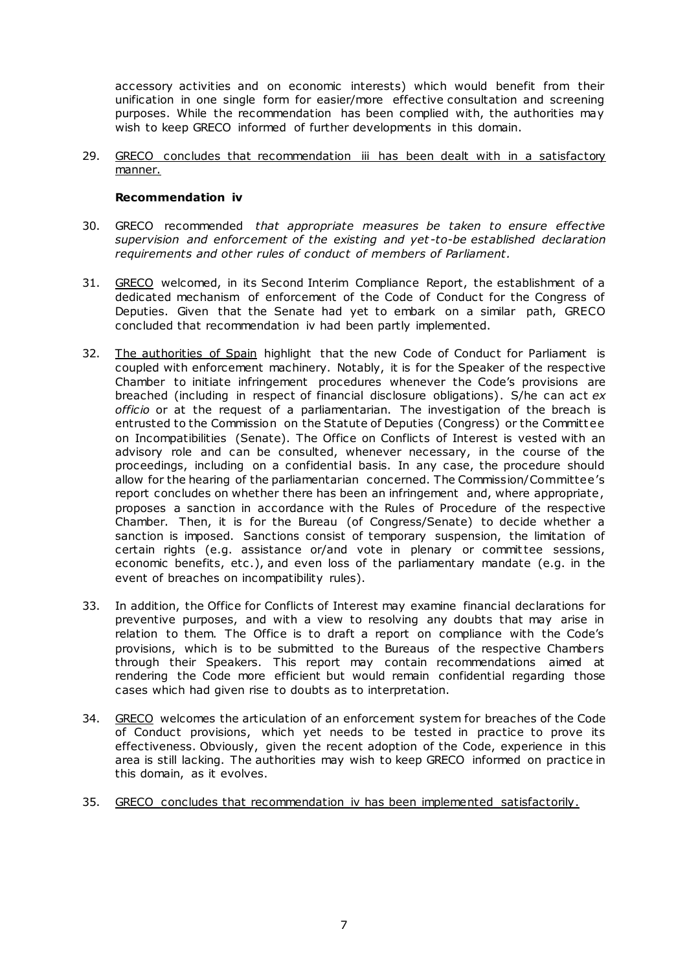accessory activities and on economic interests) which would benefit from their unification in one single form for easier/more effective consultation and screening purposes. While the recommendation has been complied with, the authorities may wish to keep GRECO informed of further developments in this domain.

29. GRECO concludes that recommendation iii has been dealt with in a satisfactory manner.

#### **Recommendation iv**

- 30. GRECO recommended *that appropriate measures be taken to ensure effective supervision and enforcement of the existing and yet -to-be established declaration requirements and other rules of conduct of members of Parliament.*
- 31. GRECO welcomed, in its Second Interim Compliance Report, the establishment of a dedicated mechanism of enforcement of the Code of Conduct for the Congress of Deputies. Given that the Senate had yet to embark on a similar path, GRECO concluded that recommendation iv had been partly implemented.
- 32. The authorities of Spain highlight that the new Code of Conduct for Parliament is coupled with enforcement machinery. Notably, it is for the Speaker of the respective Chamber to initiate infringement procedures whenever the Code's provisions are breached (including in respect of financial disclosure obligations). S/he can act *ex officio* or at the request of a parliamentarian. The investigation of the breach is entrusted to the Commission on the Statute of Deputies (Congress) or the Committ ee on Incompatibilities (Senate). The Office on Conflicts of Interest is vested with an advisory role and can be consulted, whenever necessary, in the course of the proceedings, including on a confidential basis. In any case, the procedure should allow for the hearing of the parliamentarian concerned. The Commission/Committee's report concludes on whether there has been an infringement and, where appropriate , proposes a sanction in accordance with the Rules of Procedure of the respective Chamber. Then, it is for the Bureau (of Congress/Senate) to decide whether a sanction is imposed. Sanctions consist of temporary suspension, the limitation of certain rights (e.g. assistance or/and vote in plenary or committee sessions, economic benefits, etc.), and even loss of the parliamentary mandate (e.g. in the event of breaches on incompatibility rules).
- 33. In addition, the Office for Conflicts of Interest may examine financial declarations for preventive purposes, and with a view to resolving any doubts that may arise in relation to them. The Office is to draft a report on compliance with the Code's provisions, which is to be submitted to the Bureaus of the respective Chambers through their Speakers. This report may contain recommendations aimed at rendering the Code more efficient but would remain confidential regarding those cases which had given rise to doubts as to interpretation.
- 34. GRECO welcomes the articulation of an enforcement system for breaches of the Code of Conduct provisions, which yet needs to be tested in practice to prove its effectiveness. Obviously, given the recent adoption of the Code, experience in this area is still lacking. The authorities may wish to keep GRECO informed on practice in this domain, as it evolves.
- 35. GRECO concludes that recommendation iv has been implemented satisfactorily.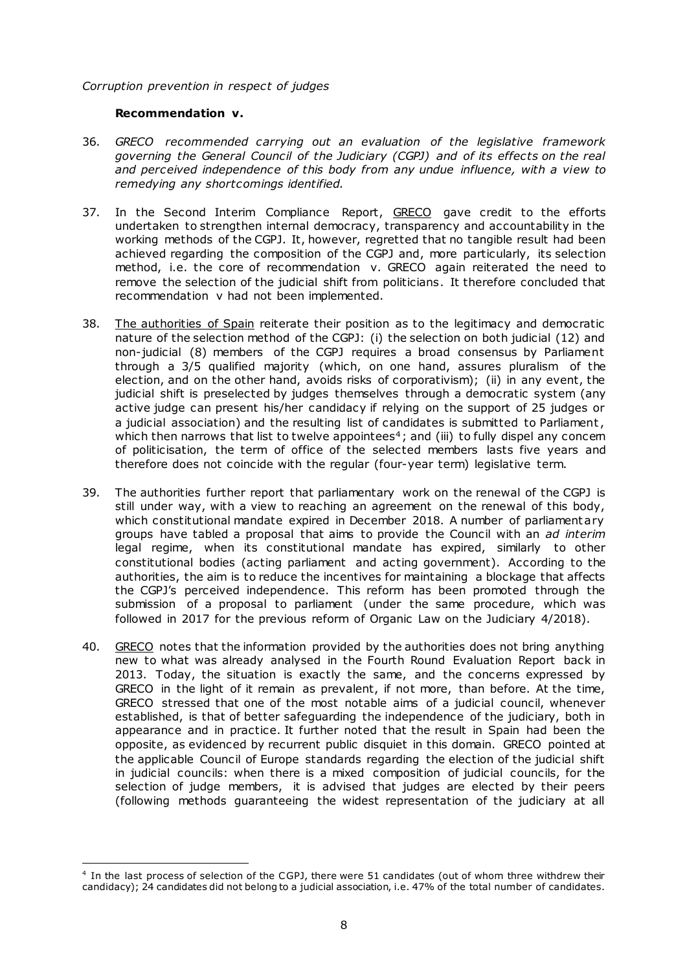#### *Corruption prevention in respect of judges*

#### **Recommendation v.**

- 36. *GRECO recommended carrying out an evaluation of the legislative framework governing the General Council of the Judiciary (CGPJ) and of its effects on the real and perceived independence of this body from any undue influence, with a view to remedying any shortcomings identified.*
- 37. In the Second Interim Compliance Report, GRECO gave credit to the efforts undertaken to strengthen internal democracy, transparency and accountability in the working methods of the CGPJ. It, however, regretted that no tangible result had been achieved regarding the composition of the CGPJ and, more particularly, its selection method, i.e. the core of recommendation v. GRECO again reiterated the need to remove the selection of the judicial shift from politicians. It therefore concluded that recommendation v had not been implemented.
- 38. The authorities of Spain reiterate their position as to the legitimacy and democratic nature of the selection method of the CGPJ: (i) the selection on both judicial (12) and non-judicial (8) members of the CGPJ requires a broad consensus by Parliament through a 3/5 qualified majority (which, on one hand, assures pluralism of the election, and on the other hand, avoids risks of corporativism); (ii) in any event, the judicial shift is preselected by judges themselves through a democratic system (any active judge can present his/her candidacy if relying on the support of 25 judges or a judicial association) and the resulting list of candidates is submitted to Parliament, which then narrows that list to twelve appointees<sup>4</sup>; and (iii) to fully dispel any concern of politicisation, the term of office of the selected members lasts five years and therefore does not coincide with the regular (four-year term) legislative term.
- 39. The authorities further report that parliamentary work on the renewal of the CGPJ is still under way, with a view to reaching an agreement on the renewal of this body, which constitutional mandate expired in December 2018. A number of parliament ary groups have tabled a proposal that aims to provide the Council with an *ad interim* legal regime, when its constitutional mandate has expired, similarly to other constitutional bodies (acting parliament and acting government). According to the authorities, the aim is to reduce the incentives for maintaining a blockage that affects the CGPJ's perceived independence. This reform has been promoted through the submission of a proposal to parliament (under the same procedure, which was followed in 2017 for the previous reform of Organic Law on the Judiciary 4/2018).
- 40. GRECO notes that the information provided by the authorities does not bring anything new to what was already analysed in the Fourth Round Evaluation Report back in 2013. Today, the situation is exactly the same, and the concerns expressed by GRECO in the light of it remain as prevalent, if not more, than before. At the time, GRECO stressed that one of the most notable aims of a judicial council, whenever established, is that of better safeguarding the independence of the judiciary, both in appearance and in practice. It further noted that the result in Spain had been the opposite, as evidenced by recurrent public disquiet in this domain. GRECO pointed at the applicable Council of Europe standards regarding the election of the judicial shift in judicial councils: when there is a mixed composition of judicial councils, for the selection of judge members, it is advised that judges are elected by their peers (following methods guaranteeing the widest representation of the judiciary at all

 $\overline{a}$ 4 In the last process of selection of the CGPJ, there were 51 candidates (out of whom three withdrew their candidacy); 24 candidates did not belong to a judicial association, i.e. 47% of the total number of candidates.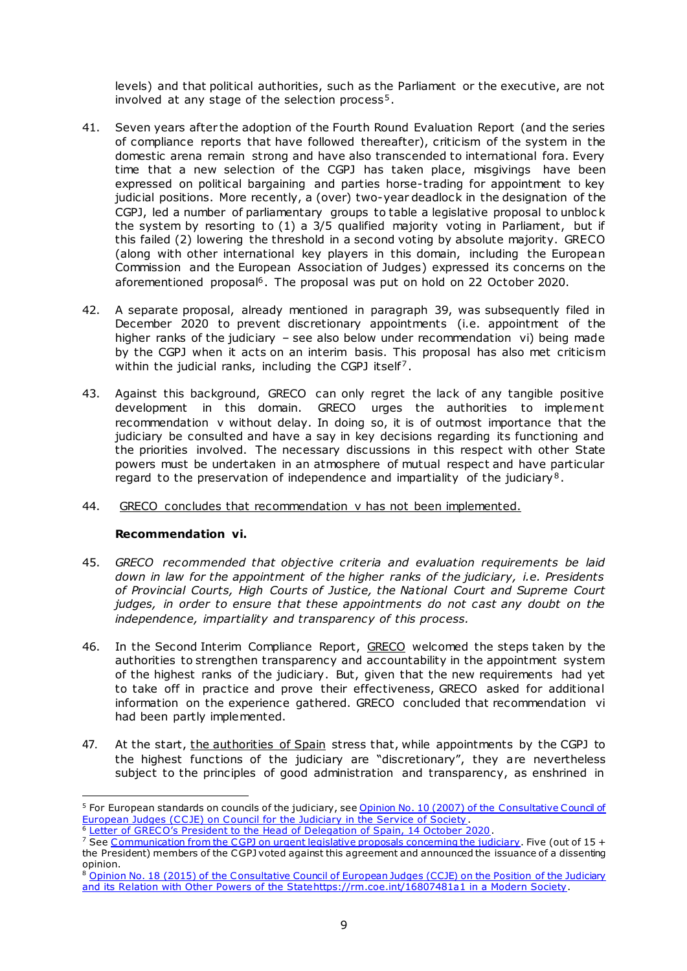levels) and that political authorities, such as the Parliament or the executive, are not involved at any stage of the selection process<sup>5</sup>.

- 41. Seven years after the adoption of the Fourth Round Evaluation Report (and the series of compliance reports that have followed thereafter), criticism of the system in the domestic arena remain strong and have also transcended to international fora. Every time that a new selection of the CGPJ has taken place, misgivings have been expressed on political bargaining and parties horse-trading for appointment to key judicial positions. More recently, a (over) two-year deadlock in the designation of the CGPJ, led a number of parliamentary groups to table a legislative proposal to unbloc k the system by resorting to (1) a 3/5 qualified majority voting in Parliament, but if this failed (2) lowering the threshold in a second voting by absolute majority. GRECO (along with other international key players in this domain, including the European Commission and the European Association of Judges) expressed its concerns on the aforementioned proposal<sup>6</sup>. The proposal was put on hold on 22 October 2020.
- 42. A separate proposal, already mentioned in paragraph 39, was subsequently filed in December 2020 to prevent discretionary appointments (i.e. appointment of the higher ranks of the judiciary – see also below under recommendation vi) being made by the CGPJ when it acts on an interim basis. This proposal has also met criticism within the judicial ranks, including the CGPJ itself<sup>7</sup>.
- 43. Against this background, GRECO can only regret the lack of any tangible positive development in this domain. GRECO urges the authorities to implement recommendation v without delay. In doing so, it is of outmost importance that the judiciary be consulted and have a say in key decisions regarding its functioning and the priorities involved. The necessary discussions in this respect with other State powers must be undertaken in an atmosphere of mutual respect and have particular regard to the preservation of independence and impartiality of the judiciary<sup>8</sup>.
- 44. GRECO concludes that recommendation v has not been implemented.

#### **Recommendation vi.**

- 45. *GRECO recommended that objective criteria and evaluation requirements be laid down in law for the appointment of the higher ranks of the judiciary, i.e. Presidents of Provincial Courts, High Courts of Justice, the National Court and Supreme Court judges, in order to ensure that these appointments do not cast any doubt on the independence, impartiality and transparency of this process.*
- 46. In the Second Interim Compliance Report, GRECO welcomed the steps taken by the authorities to strengthen transparency and accountability in the appointment system of the highest ranks of the judiciary. But, given that the new requirements had yet to take off in practice and prove their effectiveness, GRECO asked for additional information on the experience gathered. GRECO concluded that recommendation vi had been partly implemented.
- 47. At the start, the authorities of Spain stress that, while appointments by the CGPJ to the highest functions of the judiciary are "discretionary", they are nevertheless subject to the principles of good administration and transparency, as enshrined in

<sup>&</sup>lt;sup>5</sup> For European standards on councils of the judiciary, see Opinion No. 10 (2007) of the Consultative Council of [European Judges \(CC JE\) on Council for the Judiciary in the Service of Soc](https://rm.coe.int/168074779b)iety .

<sup>&</sup>lt;sup>6</sup> [Letter of GRECO's President to the Head of Delegation of Spain, 14 October 2](https://rm.coe.int/letter-to-spain-14-10-2020/1680a010c8)020.

<sup>&</sup>lt;sup>7</sup> Se[e Communication from the CGPJ on urgent legislative proposals concerning the judiciary](https://www.poderjudicial.es/cgpj/es/Poder-Judicial/En-Portada/El-Pleno-del-CGPJ-advierte-de-que-la-tramitacion-urgente-y-sin-audiencia-de-ningun-tipo-de-la-reforma-que-limita-sus-funciones-no-respeta-las-exigencias-del-principio-de-separacion-de-poderes). Five (out of 15 + the President) members of the CGPJ voted against this agreement and announced the issuance of a dissenting opinion.

<sup>8</sup> [Opinion No. 18 \(2015\) of the Consultative Council of European Judges \(CCJE\) on the Position](https://rm.coe.int/16807475bb) of the Judiciary and its Relation with Other Powers of the S[tatehttps://rm.coe.int/16807481](https://rm.coe.int/16807481a1)a1 in a Modern Society.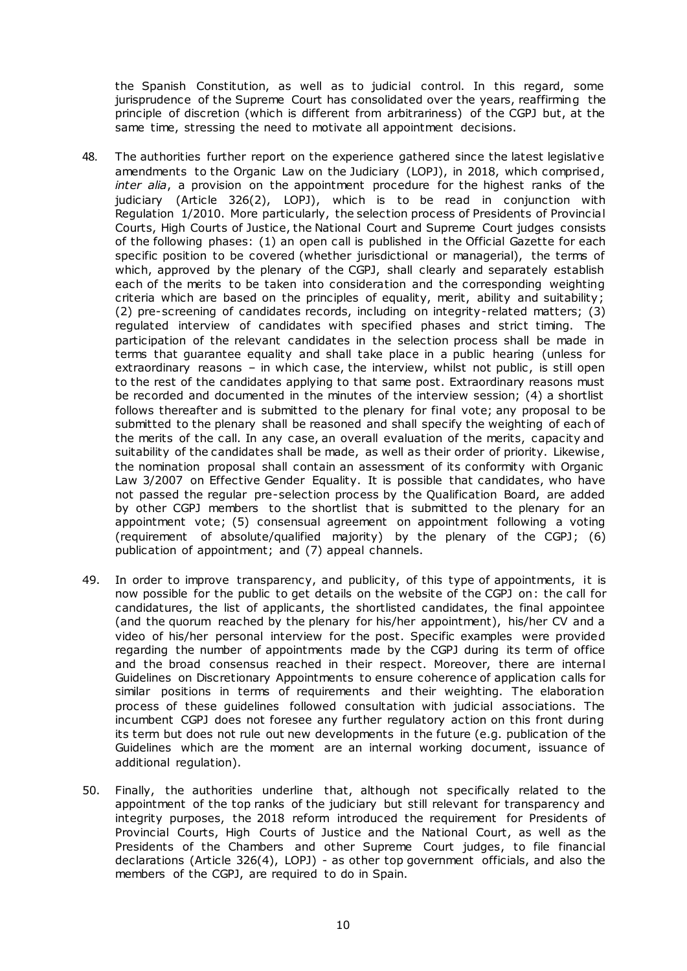the Spanish Constitution, as well as to judicial control. In this regard, some jurisprudence of the Supreme Court has consolidated over the years, reaffirming the principle of discretion (which is different from arbitrariness) of the CGPJ but, at the same time, stressing the need to motivate all appointment decisions.

- 48. The authorities further report on the experience gathered since the latest legislative amendments to the Organic Law on the Judiciary (LOPJ), in 2018, which comprised, *inter alia*, a provision on the appointment procedure for the highest ranks of the judiciary (Article 326(2), LOPJ), which is to be read in conjunction with Regulation 1/2010. More particularly, the selection process of Presidents of Provincial Courts, High Courts of Justice, the National Court and Supreme Court judges consists of the following phases: (1) an open call is published in the Official Gazette for each specific position to be covered (whether jurisdictional or managerial), the terms of which, approved by the plenary of the CGPJ, shall clearly and separately establish each of the merits to be taken into consideration and the corresponding weighting criteria which are based on the principles of equality, merit, ability and suitability; (2) pre-screening of candidates records, including on integrity-related matters; (3) regulated interview of candidates with specified phases and strict timing. The participation of the relevant candidates in the selection process shall be made in terms that guarantee equality and shall take place in a public hearing (unless for extraordinary reasons – in which case, the interview, whilst not public, is still open to the rest of the candidates applying to that same post. Extraordinary reasons must be recorded and documented in the minutes of the interview session; (4) a shortlist follows thereafter and is submitted to the plenary for final vote; any proposal to be submitted to the plenary shall be reasoned and shall specify the weighting of each of the merits of the call. In any case, an overall evaluation of the merits, capacity and suitability of the candidates shall be made, as well as their order of priority. Likewise, the nomination proposal shall contain an assessment of its conformity with Organic Law 3/2007 on Effective Gender Equality. It is possible that candidates, who have not passed the regular pre-selection process by the Qualification Board, are added by other CGPJ members to the shortlist that is submitted to the plenary for an appointment vote; (5) consensual agreement on appointment following a voting (requirement of absolute/qualified majority) by the plenary of the CGPJ; (6) publication of appointment; and (7) appeal channels.
- 49. In order to improve transparency, and publicity, of this type of appointments, it is now possible for the public to get details on the website of the CGPJ on: the call for candidatures, the list of applicants, the shortlisted candidates, the final appointee (and the quorum reached by the plenary for his/her appointment), his/her CV and a video of his/her personal interview for the post. Specific examples were provided regarding the number of appointments made by the CGPJ during its term of office and the broad consensus reached in their respect. Moreover, there are internal Guidelines on Discretionary Appointments to ensure coherence of application calls for similar positions in terms of requirements and their weighting. The elaboration process of these guidelines followed consultation with judicial associations. The incumbent CGPJ does not foresee any further regulatory action on this front during its term but does not rule out new developments in the future (e.g. publication of the Guidelines which are the moment are an internal working document, issuance of additional regulation).
- 50. Finally, the authorities underline that, although not specifically related to the appointment of the top ranks of the judiciary but still relevant for transparency and integrity purposes, the 2018 reform introduced the requirement for Presidents of Provincial Courts, High Courts of Justice and the National Court, as well as the Presidents of the Chambers and other Supreme Court judges, to file financial declarations (Article 326(4), LOPJ) - as other top government officials, and also the members of the CGPJ, are required to do in Spain.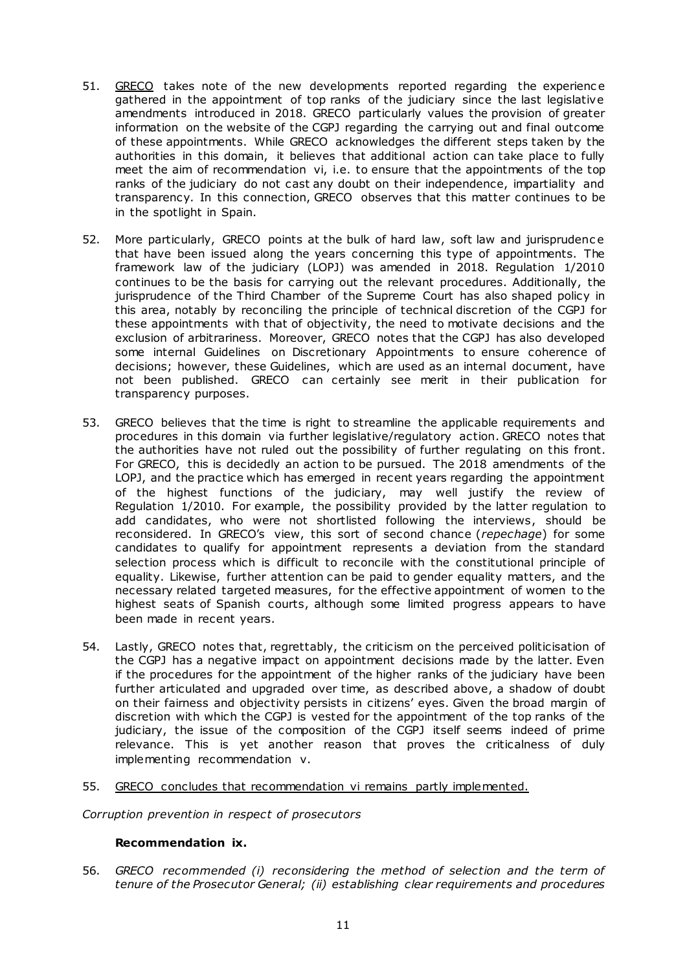- 51. GRECO takes note of the new developments reported regarding the experienc e gathered in the appointment of top ranks of the judiciary since the last legislative amendments introduced in 2018. GRECO particularly values the provision of greater information on the website of the CGPJ regarding the carrying out and final outcome of these appointments. While GRECO acknowledges the different steps taken by the authorities in this domain, it believes that additional action can take place to fully meet the aim of recommendation vi, i.e. to ensure that the appointments of the top ranks of the judiciary do not cast any doubt on their independence, impartiality and transparency*.* In this connection, GRECO observes that this matter continues to be in the spotlight in Spain.
- 52. More particularly, GRECO points at the bulk of hard law, soft law and jurisprudence that have been issued along the years concerning this type of appointments. The framework law of the judiciary (LOPJ) was amended in 2018. Regulation 1/2010 continues to be the basis for carrying out the relevant procedures. Additionally, the jurisprudence of the Third Chamber of the Supreme Court has also shaped policy in this area, notably by reconciling the principle of technical discretion of the CGPJ for these appointments with that of objectivity, the need to motivate decisions and the exclusion of arbitrariness. Moreover, GRECO notes that the CGPJ has also developed some internal Guidelines on Discretionary Appointments to ensure coherence of decisions; however, these Guidelines, which are used as an internal document, have not been published. GRECO can certainly see merit in their publication for transparency purposes.
- 53. GRECO believes that the time is right to streamline the applicable requirements and procedures in this domain via further legislative/regulatory action. GRECO notes that the authorities have not ruled out the possibility of further regulating on this front. For GRECO, this is decidedly an action to be pursued. The 2018 amendments of the LOPJ, and the practice which has emerged in recent years regarding the appointment of the highest functions of the judiciary, may well justify the review of Regulation 1/2010. For example, the possibility provided by the latter regulation to add candidates, who were not shortlisted following the interviews, should be reconsidered. In GRECO's view, this sort of second chance (*repechage*) for some candidates to qualify for appointment represents a deviation from the standard selection process which is difficult to reconcile with the constitutional principle of equality. Likewise, further attention can be paid to gender equality matters, and the necessary related targeted measures, for the effective appointment of women to the highest seats of Spanish courts, although some limited progress appears to have been made in recent years.
- 54. Lastly, GRECO notes that, regrettably, the criticism on the perceived politicisation of the CGPJ has a negative impact on appointment decisions made by the latter. Even if the procedures for the appointment of the higher ranks of the judiciary have been further articulated and upgraded over time, as described above, a shadow of doubt on their fairness and objectivity persists in citizens' eyes. Given the broad margin of discretion with which the CGPJ is vested for the appointment of the top ranks of the judiciary, the issue of the composition of the CGPJ itself seems indeed of prime relevance. This is yet another reason that proves the criticalness of duly implementing recommendation v.
- 55. GRECO concludes that recommendation vi remains partly implemented.

*Corruption prevention in respect of prosecutors*

#### **Recommendation ix.**

56. *GRECO recommended (i) reconsidering the method of selection and the term of tenure of the Prosecutor General; (ii) establishing clear requirements and procedures*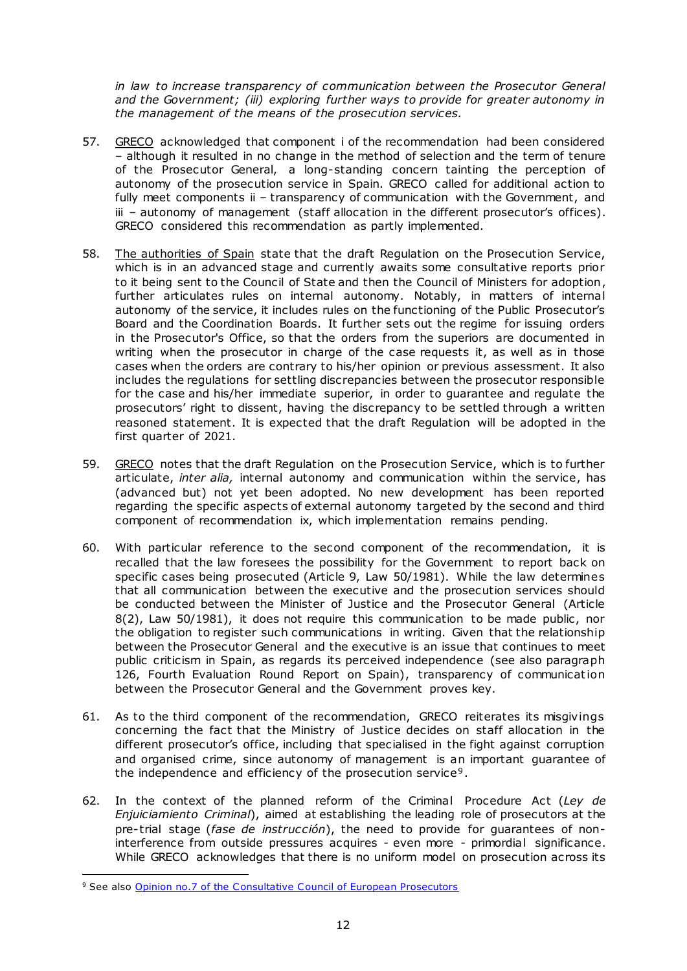*in law to increase transparency of communication between the Prosecutor General and the Government; (iii) exploring further ways to provide for greater autonomy in the management of the means of the prosecution services.* 

- 57. GRECO acknowledged that component i of the recommendation had been considered – although it resulted in no change in the method of selection and the term of tenure of the Prosecutor General, a long-standing concern tainting the perception of autonomy of the prosecution service in Spain. GRECO called for additional action to fully meet components ii – transparency of communication with the Government, and iii – autonomy of management (staff allocation in the different prosecutor's offices). GRECO considered this recommendation as partly implemented.
- 58. The authorities of Spain state that the draft Regulation on the Prosecution Service, which is in an advanced stage and currently awaits some consultative reports prior to it being sent to the Council of State and then the Council of Ministers for adoption, further articulates rules on internal autonomy. Notably, in matters of internal autonomy of the service, it includes rules on the functioning of the Public Prosecutor's Board and the Coordination Boards. It further sets out the regime for issuing orders in the Prosecutor's Office, so that the orders from the superiors are documented in writing when the prosecutor in charge of the case requests it, as well as in those cases when the orders are contrary to his/her opinion or previous assessment. It also includes the regulations for settling discrepancies between the prosecutor responsible for the case and his/her immediate superior, in order to guarantee and regulate the prosecutors' right to dissent, having the discrepancy to be settled through a written reasoned statement. It is expected that the draft Regulation will be adopted in the first quarter of 2021.
- 59. GRECO notes that the draft Regulation on the Prosecution Service, which is to further articulate, *inter alia,* internal autonomy and communication within the service, has (advanced but) not yet been adopted. No new development has been reported regarding the specific aspects of external autonomy targeted by the second and third component of recommendation ix, which implementation remains pending.
- 60. With particular reference to the second component of the recommendation, it is recalled that the law foresees the possibility for the Government to report back on specific cases being prosecuted (Article 9, Law 50/1981). While the law determines that all communication between the executive and the prosecution services should be conducted between the Minister of Justice and the Prosecutor General (Article 8(2), Law 50/1981), it does not require this communication to be made public, nor the obligation to register such communications in writing. Given that the relationship between the Prosecutor General and the executive is an issue that continues to meet public criticism in Spain, as regards its perceived independence (see also paragraph 126, Fourth Evaluation Round Report on Spain), transparency of communication between the Prosecutor General and the Government proves key.
- 61. As to the third component of the recommendation, GRECO reiterates its misgivings concerning the fact that the Ministry of Justice decides on staff allocation in the different prosecutor's office, including that specialised in the fight against corruption and organised crime, since autonomy of management is an important guarantee of the independence and efficiency of the prosecution service<sup>9</sup>.
- 62. In the context of the planned reform of the Criminal Procedure Act (*Ley de Enjuiciamiento Criminal*), aimed at establishing the leading role of prosecutors at the pre-trial stage (*fase de instrucción*), the need to provide for guarantees of noninterference from outside pressures acquires - even more - primordial significance. While GRECO acknowledges that there is no uniform model on prosecution across its

<sup>&</sup>lt;sup>9</sup> See als[o Opinion no.7 of the Consultative Council of European Prosecu](https://rm.coe.int/16807475b5)tors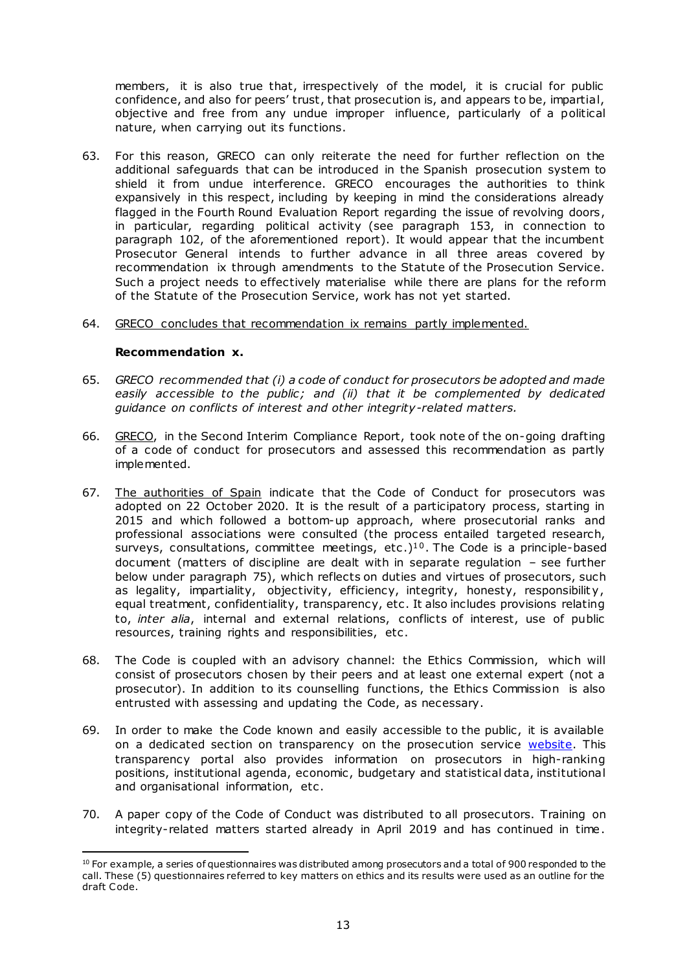members, it is also true that, irrespectively of the model, it is crucial for public confidence, and also for peers' trust, that prosecution is, and appears to be, impartial, objective and free from any undue improper influence, particularly of a political nature, when carrying out its functions.

- 63. For this reason, GRECO can only reiterate the need for further reflection on the additional safeguards that can be introduced in the Spanish prosecution system to shield it from undue interference. GRECO encourages the authorities to think expansively in this respect, including by keeping in mind the considerations already flagged in the Fourth Round Evaluation Report regarding the issue of revolving doors, in particular, regarding political activity (see paragraph 153, in connection to paragraph 102, of the aforementioned report). It would appear that the incumbent Prosecutor General intends to further advance in all three areas covered by recommendation ix through amendments to the Statute of the Prosecution Service. Such a project needs to effectively materialise while there are plans for the reform of the Statute of the Prosecution Service, work has not yet started.
- 64. GRECO concludes that recommendation ix remains partly implemented.

#### **Recommendation x.**

- 65. *GRECO recommended that (i) a code of conduct for prosecutors be adopted and made easily accessible to the public; and (ii) that it be complemented by dedicated guidance on conflicts of interest and other integrity-related matters.*
- 66. GRECO, in the Second Interim Compliance Report, took note of the on-going drafting of a code of conduct for prosecutors and assessed this recommendation as partly implemented.
- 67. The authorities of Spain indicate that the Code of Conduct for prosecutors was adopted on 22 October 2020. It is the result of a participatory process, starting in 2015 and which followed a bottom-up approach, where prosecutorial ranks and professional associations were consulted (the process entailed targeted research, surveys, consultations, committee meetings, etc.)<sup>10</sup>. The Code is a principle-based document (matters of discipline are dealt with in separate regulation – see further below under paragraph 75), which reflects on duties and virtues of prosecutors, such as legality, impartiality, objectivity, efficiency, integrity, honesty, responsibility, equal treatment, confidentiality, transparency, etc . It also includes provisions relating to, *inter alia*, internal and external relations, conflicts of interest, use of public resources, training rights and responsibilities, etc .
- 68. The Code is coupled with an advisory channel: the Ethics Commission, which will consist of prosecutors chosen by their peers and at least one external expert (not a prosecutor). In addition to its counselling functions, the Ethics Commission is also entrusted with assessing and updating the Code, as necessary.
- 69. In order to make the Code known and easily accessible to the public , it is available on a dedicated section on transparency on the prosecution service [website.](https://www.fiscal.es/ca/portal-de-transparencia) This transparency portal also provides information on prosecutors in high-ranking positions, institutional agenda, economic , budgetary and statistical data, institutional and organisational information, etc.
- 70. A paper copy of the Code of Conduct was distributed to all prosecutors. Training on integrity-related matters started already in April 2019 and has continued in time.

 $\overline{a}$  $10$  For example, a series of questionnaires was distributed among prosecutors and a total of 900 responded to the call. These (5) questionnaires referred to key matters on ethics and its results were used as an outline for the draft Code.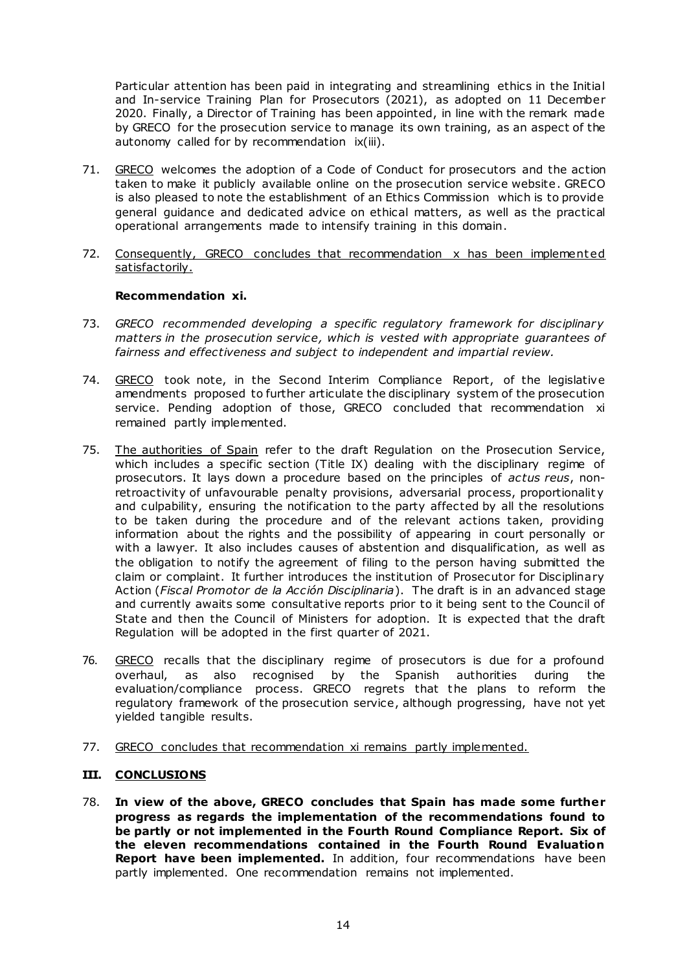Particular attention has been paid in integrating and streamlining ethics in the Initial and In-service Training Plan for Prosecutors (2021), as adopted on 11 December 2020. Finally, a Director of Training has been appointed, in line with the remark made by GRECO for the prosecution service to manage its own training, as an aspect of the autonomy called for by recommendation ix(iii).

- 71. GRECO welcomes the adoption of a Code of Conduct for prosecutors and the action taken to make it publicly available online on the prosecution service website. GRECO is also pleased to note the establishment of an Ethics Commission which is to provide general guidance and dedicated advice on ethical matters, as well as the practical operational arrangements made to intensify training in this domain.
- 72. Consequently, GRECO concludes that recommendation x has been implement ed satisfactorily.

#### **Recommendation xi.**

- 73. *GRECO recommended developing a specific regulatory framework for disciplinary matters in the prosecution service, which is vested with appropriate guarantees of fairness and effectiveness and subject to independent and impartial review.*
- 74. GRECO took note, in the Second Interim Compliance Report, of the legislative amendments proposed to further articulate the disciplinary system of the prosecution service. Pending adoption of those, GRECO concluded that recommendation xi remained partly implemented.
- 75. The authorities of Spain refer to the draft Regulation on the Prosecution Service, which includes a specific section (Title IX) dealing with the disciplinary regime of prosecutors. It lays down a procedure based on the principles of *actus reus*, nonretroactivity of unfavourable penalty provisions, adversarial process, proportionality and culpability, ensuring the notification to the party affected by all the resolutions to be taken during the procedure and of the relevant actions taken, providing information about the rights and the possibility of appearing in court personally or with a lawyer. It also includes causes of abstention and disqualification, as well as the obligation to notify the agreement of filing to the person having submitted the claim or complaint. It further introduces the institution of Prosecutor for Disciplinary Action (*Fiscal Promotor de la Acción Disciplinaria*). The draft is in an advanced stage and currently awaits some consultative reports prior to it being sent to the Council of State and then the Council of Ministers for adoption. It is expected that the draft Regulation will be adopted in the first quarter of 2021.
- 76. GRECO recalls that the disciplinary regime of prosecutors is due for a profound overhaul, as also recognised by the Spanish authorities during the evaluation/compliance process. GRECO regrets that the plans to reform the regulatory framework of the prosecution service, although progressing, have not yet yielded tangible results.
- 77. GRECO concludes that recommendation xi remains partly implemented.

## **III. CONCLUSIONS**

78. **In view of the above, GRECO concludes that Spain has made some further progress as regards the implementation of the recommendations found to be partly or not implemented in the Fourth Round Compliance Report. Six of the eleven recommendations contained in the Fourth Round Evaluation Report have been implemented.** In addition, four recommendations have been partly implemented. One recommendation remains not implemented.